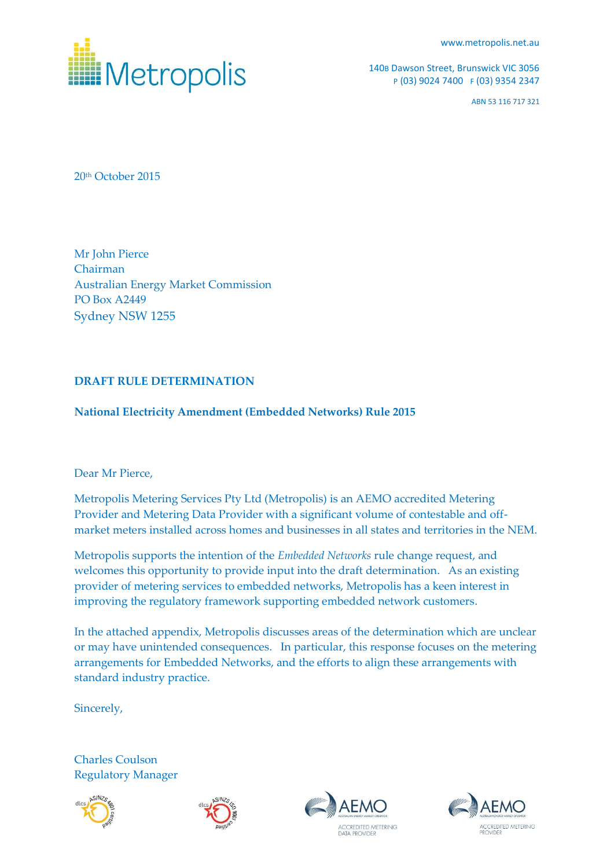[www.metropolis.net.au](http://www.metropolis.net.au/)



140B Dawson Street, Brunswick VIC 3056 P (03) 9024 7400 F (03) 9354 2347

ABN 53 116 717 321

20th October 2015

Mr John Pierce Chairman Australian Energy Market Commission PO Box A2449 Sydney NSW 1255

## **DRAFT RULE DETERMINATION**

## **National Electricity Amendment (Embedded Networks) Rule 2015**

## Dear Mr Pierce,

Metropolis Metering Services Pty Ltd (Metropolis) is an AEMO accredited Metering Provider and Metering Data Provider with a significant volume of contestable and offmarket meters installed across homes and businesses in all states and territories in the NEM.

Metropolis supports the intention of the *Embedded Networks* rule change request, and welcomes this opportunity to provide input into the draft determination. As an existing provider of metering services to embedded networks, Metropolis has a keen interest in improving the regulatory framework supporting embedded network customers.

In the attached appendix, Metropolis discusses areas of the determination which are unclear or may have unintended consequences. In particular, this response focuses on the metering arrangements for Embedded Networks, and the efforts to align these arrangements with standard industry practice.

Sincerely,

Charles Coulson Regulatory Manager







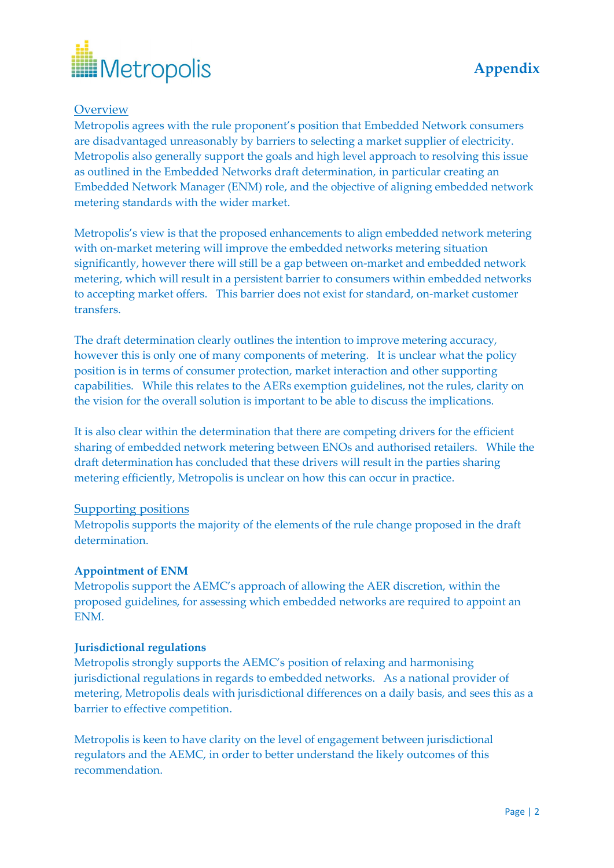

# **Overview**

Metropolis agrees with the rule proponent's position that Embedded Network consumers are disadvantaged unreasonably by barriers to selecting a market supplier of electricity. Metropolis also generally support the goals and high level approach to resolving this issue as outlined in the Embedded Networks draft determination, in particular creating an Embedded Network Manager (ENM) role, and the objective of aligning embedded network metering standards with the wider market.

Metropolis's view is that the proposed enhancements to align embedded network metering with on-market metering will improve the embedded networks metering situation significantly, however there will still be a gap between on-market and embedded network metering, which will result in a persistent barrier to consumers within embedded networks to accepting market offers. This barrier does not exist for standard, on-market customer transfers.

The draft determination clearly outlines the intention to improve metering accuracy, however this is only one of many components of metering. It is unclear what the policy position is in terms of consumer protection, market interaction and other supporting capabilities. While this relates to the AERs exemption guidelines, not the rules, clarity on the vision for the overall solution is important to be able to discuss the implications.

It is also clear within the determination that there are competing drivers for the efficient sharing of embedded network metering between ENOs and authorised retailers. While the draft determination has concluded that these drivers will result in the parties sharing metering efficiently, Metropolis is unclear on how this can occur in practice.

## Supporting positions

Metropolis supports the majority of the elements of the rule change proposed in the draft determination.

## **Appointment of ENM**

Metropolis support the AEMC's approach of allowing the AER discretion, within the proposed guidelines, for assessing which embedded networks are required to appoint an ENM.

## **Jurisdictional regulations**

Metropolis strongly supports the AEMC's position of relaxing and harmonising jurisdictional regulations in regards to embedded networks. As a national provider of metering, Metropolis deals with jurisdictional differences on a daily basis, and sees this as a barrier to effective competition.

Metropolis is keen to have clarity on the level of engagement between jurisdictional regulators and the AEMC, in order to better understand the likely outcomes of this recommendation.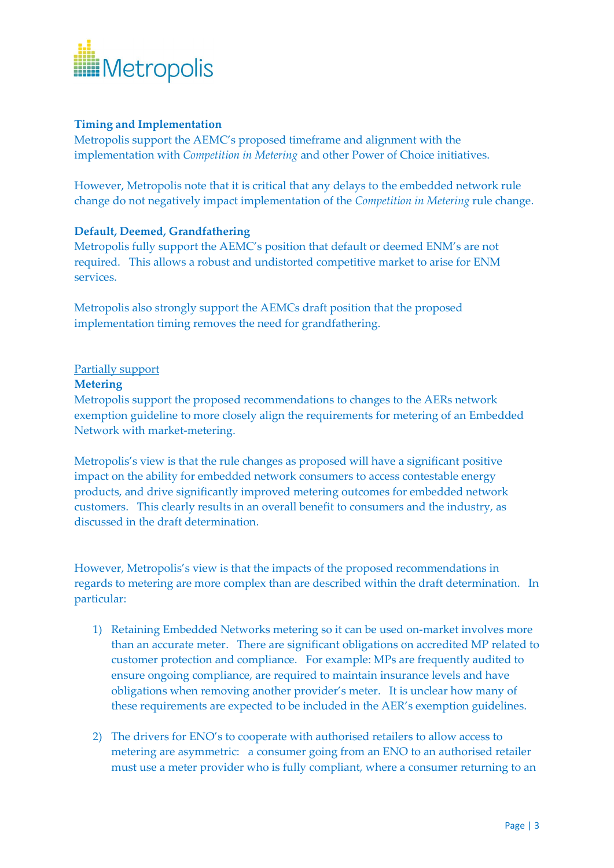

# **Timing and Implementation**

Metropolis support the AEMC's proposed timeframe and alignment with the implementation with *Competition in Metering* and other Power of Choice initiatives.

However, Metropolis note that it is critical that any delays to the embedded network rule change do not negatively impact implementation of the *Competition in Metering* rule change.

## **Default, Deemed, Grandfathering**

Metropolis fully support the AEMC's position that default or deemed ENM's are not required. This allows a robust and undistorted competitive market to arise for ENM services.

Metropolis also strongly support the AEMCs draft position that the proposed implementation timing removes the need for grandfathering.

## Partially support

#### **Metering**

Metropolis support the proposed recommendations to changes to the AERs network exemption guideline to more closely align the requirements for metering of an Embedded Network with market-metering.

Metropolis's view is that the rule changes as proposed will have a significant positive impact on the ability for embedded network consumers to access contestable energy products, and drive significantly improved metering outcomes for embedded network customers. This clearly results in an overall benefit to consumers and the industry, as discussed in the draft determination.

However, Metropolis's view is that the impacts of the proposed recommendations in regards to metering are more complex than are described within the draft determination. In particular:

- 1) Retaining Embedded Networks metering so it can be used on-market involves more than an accurate meter. There are significant obligations on accredited MP related to customer protection and compliance. For example: MPs are frequently audited to ensure ongoing compliance, are required to maintain insurance levels and have obligations when removing another provider's meter. It is unclear how many of these requirements are expected to be included in the AER's exemption guidelines.
- 2) The drivers for ENO's to cooperate with authorised retailers to allow access to metering are asymmetric: a consumer going from an ENO to an authorised retailer must use a meter provider who is fully compliant, where a consumer returning to an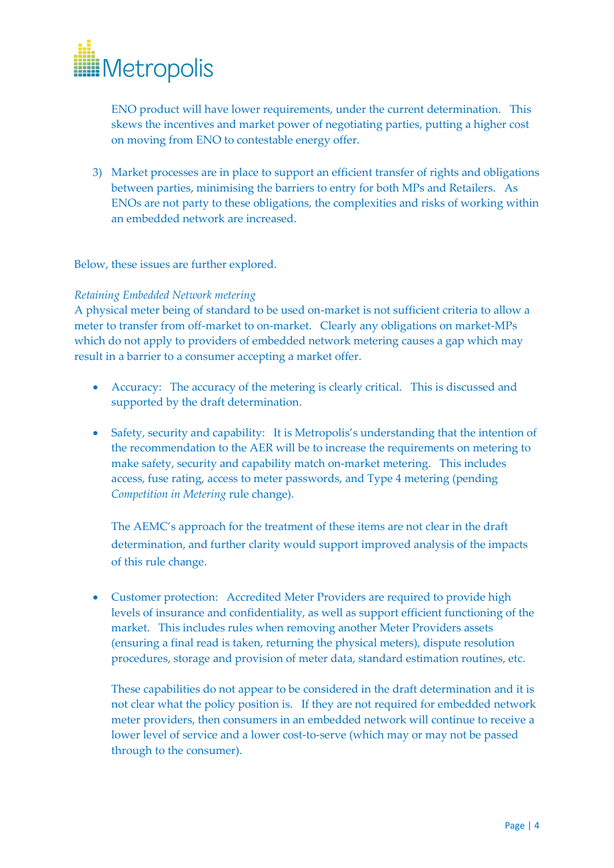

ENO product will have lower requirements, under the current determination. This skews the incentives and market power of negotiating parties, putting a higher cost on moving from ENO to contestable energy offer.

3) Market processes are in place to support an efficient transfer of rights and obligations between parties, minimising the barriers to entry for both MPs and Retailers. As ENOs are not party to these obligations, the complexities and risks of working within an embedded network are increased.

Below, these issues are further explored.

## *Retaining Embedded Network metering*

A physical meter being of standard to be used on-market is not sufficient criteria to allow a meter to transfer from off-market to on-market. Clearly any obligations on market-MPs which do not apply to providers of embedded network metering causes a gap which may result in a barrier to a consumer accepting a market offer.

- Accuracy: The accuracy of the metering is clearly critical. This is discussed and supported by the draft determination.
- Safety, security and capability: It is Metropolis's understanding that the intention of the recommendation to the AER will be to increase the requirements on metering to make safety, security and capability match on-market metering. This includes access, fuse rating, access to meter passwords, and Type 4 metering (pending *Competition in Metering* rule change).

The AEMC's approach for the treatment of these items are not clear in the draft determination, and further clarity would support improved analysis of the impacts of this rule change.

 Customer protection: Accredited Meter Providers are required to provide high levels of insurance and confidentiality, as well as support efficient functioning of the market. This includes rules when removing another Meter Providers assets (ensuring a final read is taken, returning the physical meters), dispute resolution procedures, storage and provision of meter data, standard estimation routines, etc.

These capabilities do not appear to be considered in the draft determination and it is not clear what the policy position is. If they are not required for embedded network meter providers, then consumers in an embedded network will continue to receive a lower level of service and a lower cost-to-serve (which may or may not be passed through to the consumer).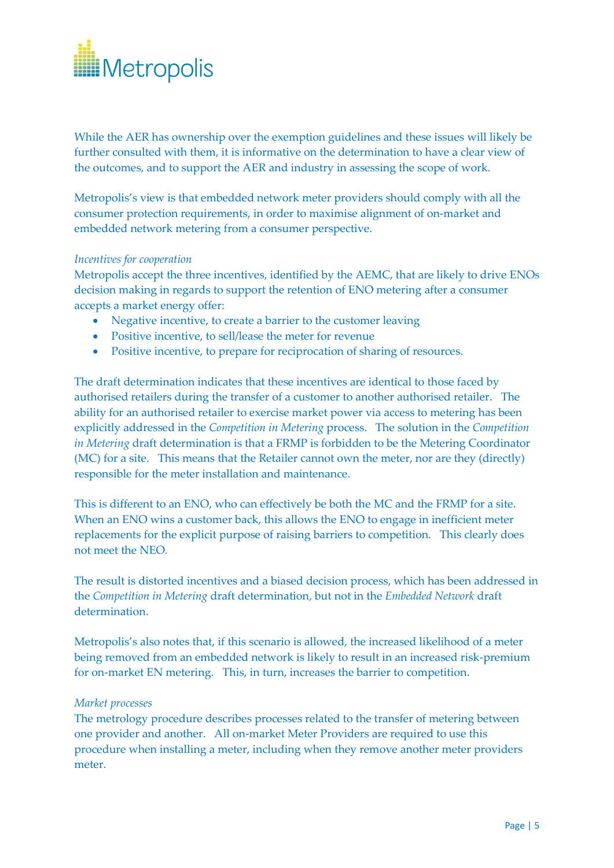

While the AER has ownership over the exemption guidelines and these issues will likely be further consulted with them, it is informative on the determination to have a clear view of the outcomes, and to support the AER and industry in assessing the scope of work.

Metropolis's view is that embedded network meter providers should comply with all the consumer protection requirements, in order to maximise alignment of on-market and embedded network metering from a consumer perspective.

#### *Incentives for cooperation*

Metropolis accept the three incentives, identified by the AEMC, that are likely to drive ENOs decision making in regards to support the retention of ENO metering after a consumer accepts a market energy offer:

- Negative incentive, to create a barrier to the customer leaving
- Positive incentive, to sell/lease the meter for revenue
- Positive incentive, to prepare for reciprocation of sharing of resources.

The draft determination indicates that these incentives are identical to those faced by authorised retailers during the transfer of a customer to another authorised retailer. The ability for an authorised retailer to exercise market power via access to metering has been explicitly addressed in the *Competition in Metering* process. The solution in the *Competition in Metering* draft determination is that a FRMP is forbidden to be the Metering Coordinator (MC) for a site. This means that the Retailer cannot own the meter, nor are they (directly) responsible for the meter installation and maintenance.

This is different to an ENO, who can effectively be both the MC and the FRMP for a site. When an ENO wins a customer back, this allows the ENO to engage in inefficient meter replacements for the explicit purpose of raising barriers to competition. This clearly does not meet the NEO.

The result is distorted incentives and a biased decision process, which has been addressed in the *Competition in Metering* draft determination, but not in the *Embedded Network* draft determination.

Metropolis's also notes that, if this scenario is allowed, the increased likelihood of a meter being removed from an embedded network is likely to result in an increased risk-premium for on-market EN metering. This, in turn, increases the barrier to competition.

#### *Market processes*

The metrology procedure describes processes related to the transfer of metering between one provider and another. All on-market Meter Providers are required to use this procedure when installing a meter, including when they remove another meter providers meter.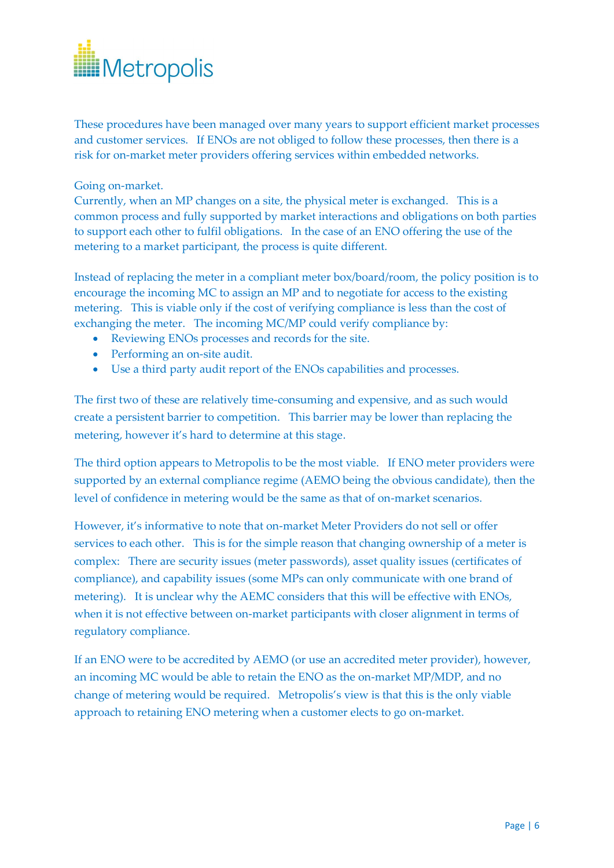

These procedures have been managed over many years to support efficient market processes and customer services. If ENOs are not obliged to follow these processes, then there is a risk for on-market meter providers offering services within embedded networks.

Going on-market.

Currently, when an MP changes on a site, the physical meter is exchanged. This is a common process and fully supported by market interactions and obligations on both parties to support each other to fulfil obligations. In the case of an ENO offering the use of the metering to a market participant, the process is quite different.

Instead of replacing the meter in a compliant meter box/board/room, the policy position is to encourage the incoming MC to assign an MP and to negotiate for access to the existing metering. This is viable only if the cost of verifying compliance is less than the cost of exchanging the meter. The incoming MC/MP could verify compliance by:

- Reviewing ENOs processes and records for the site.
- Performing an on-site audit.
- Use a third party audit report of the ENOs capabilities and processes.

The first two of these are relatively time-consuming and expensive, and as such would create a persistent barrier to competition. This barrier may be lower than replacing the metering, however it's hard to determine at this stage.

The third option appears to Metropolis to be the most viable. If ENO meter providers were supported by an external compliance regime (AEMO being the obvious candidate), then the level of confidence in metering would be the same as that of on-market scenarios.

However, it's informative to note that on-market Meter Providers do not sell or offer services to each other. This is for the simple reason that changing ownership of a meter is complex: There are security issues (meter passwords), asset quality issues (certificates of compliance), and capability issues (some MPs can only communicate with one brand of metering). It is unclear why the AEMC considers that this will be effective with ENOs, when it is not effective between on-market participants with closer alignment in terms of regulatory compliance.

If an ENO were to be accredited by AEMO (or use an accredited meter provider), however, an incoming MC would be able to retain the ENO as the on-market MP/MDP, and no change of metering would be required. Metropolis's view is that this is the only viable approach to retaining ENO metering when a customer elects to go on-market.